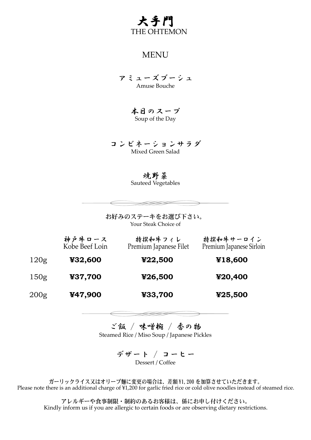

## MENU

アミューズブーシュ Amuse Bouche

> 本日のスープ Soup of the Day

コンビネーションサラダ Mixed Green Salad

焼野菜

Sauteed Vegetables

お好みのステーキをお選び下さい。 Your Steak Choice of

|                  | 神户牛口一ス<br>Kobe Beef Loin | 特撰和牛フィレ<br>Premium Japanese Filet | 特撰和牛サーロイン<br>Premium Japanese Sirloin |
|------------------|--------------------------|-----------------------------------|---------------------------------------|
| 120g             | ¥32,600                  | ¥22,500                           | ¥18,600                               |
| 150g             | ¥37,700                  | ¥26,500                           | ¥20,400                               |
| 200 <sub>g</sub> | ¥47,900                  | ¥33,700                           | ¥25,500                               |

ご飯 / 味噌椀 / 香の物 Steamed Rice / Miso Soup / Japanese Pickles

> デザート / コーヒー Dessert / Coffee

ガーリックライス又はオリーブ麺に変更の場合は、差額 \1,200 を加算させていただきます。 Please note there is an additional charge of ¥1,200 for garlic fried rice or cold olive noodles instead of steamed rice.

アレルギーや食事制限・制約のあるお客様は、係にお申し付けください。 Kindly inform us if you are allergic to certain foods or are observing dietary restrictions.